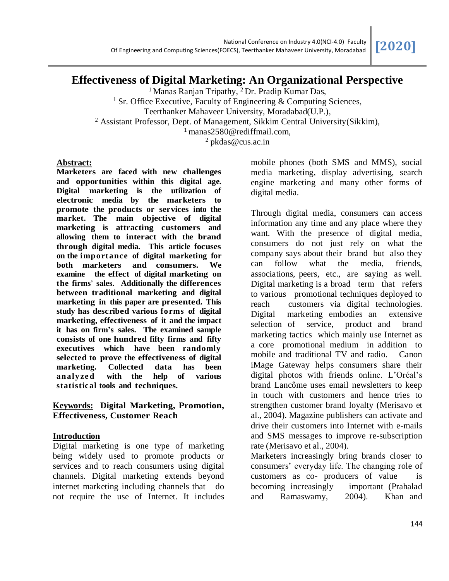# **Effectiveness of Digital Marketing: An Organizational Perspective**

<sup>1</sup> Manas Ranjan Tripathy, <sup>2</sup> Dr. Pradip Kumar Das, <sup>1</sup> Sr. Office Executive, Faculty of Engineering  $&$  Computing Sciences, Teerthanker Mahaveer University, Moradabad(U.P.), <sup>2</sup> Assistant Professor, Dept. of Management, Sikkim Central University(Sikkim), <sup>1</sup> manas2580@rediffmail.com, <sup>2</sup> pkdas@cus.ac.in

#### **Abstract:**

**Marketers are faced with new challenges and opportunities within this digital age. Digital marketing is the utilization of electronic media by the marketers to promote the products or services into the market. The main objective of digital marketing is attracting customers and allowing them to interact with the brand through digital media. This article focuses on the importance of digital marketing for both marketers and consumers. We examine the effect of digital marketing on the firms' sales. Additionally the differences between traditional marketing and digital marketing in this paper are presented. This study has described various forms of digital marketing, effectiveness of it and the impact it has on firm's sales. The examined sample consists of one hundred fifty firms and fifty executives which have been randomly selected to prove the effectiveness of digital marketing. Collected data has been analy ze d with the help of various statistical tools and techniques.**

# **Keywords: Digital Marketing, Promotion, Effectiveness, Customer Reach**

# **Introduction**

Digital marketing is one type of marketing being widely used to promote products or services and to reach consumers using digital channels. Digital marketing extends beyond internet marketing including channels that do not require the use of Internet. It includes

mobile phones (both SMS and MMS), social media marketing, display advertising, search engine marketing and many other forms of digital media.

Through digital media, consumers can access information any time and any place where they want. With the presence of digital media, consumers do not just rely on what the company says about their brand but also they can follow what the media, friends, associations, peers, etc., are saying as well. Digital marketing is a broad term that refers to various promotional techniques deployed to reach customers via digital technologies. Digital marketing embodies an extensive selection of service, product and brand marketing tactics which mainly use Internet as a core promotional medium in addition to mobile and traditional TV and radio. Canon iMage Gateway helps consumers share their digital photos with friends online. L'Oréal's brand Lancôme uses email newsletters to keep in touch with customers and hence tries to strengthen customer brand loyalty (Merisavo et al., 2004). Magazine publishers can activate and drive their customers into Internet with e-mails and SMS messages to improve re-subscription rate (Merisavo et al., 2004).

Marketers increasingly bring brands closer to consumers' everyday life. The changing role of customers as co- producers of value is becoming increasingly important (Prahalad and Ramaswamy, 2004). Khan and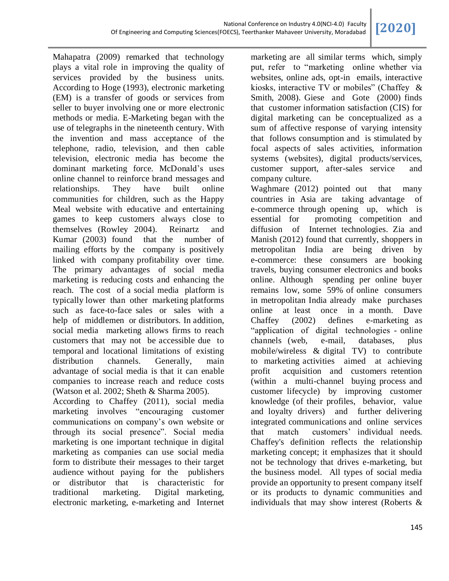Mahapatra (2009) remarked that technology plays a vital role in improving the quality of services provided by the business units. According to Hoge (1993), electronic marketing (EM) is a transfer of goods or services from seller to buyer involving one or more electronic methods or media. E-Marketing began with the use of telegraphs in the nineteenth century. With the invention and mass acceptance of the telephone, radio, television, and then cable television, electronic media has become the dominant marketing force. McDonald's uses online channel to reinforce brand messages and relationships. They have built online communities for children, such as the Happy Meal website with educative and entertaining games to keep customers always close to themselves (Rowley 2004). Reinartz and Kumar (2003) found that the number of mailing efforts by the company is positively linked with company profitability over time. The primary advantages of social media marketing is reducing costs and enhancing the reach. The cost of a social media platform is typically lower than other marketing platforms such as face-to-face sales or sales with a help of middlemen or distributors. In addition, social media marketing allows firms to reach customers that may not be accessible due to temporal and locational limitations of existing distribution channels. Generally, main advantage of social media is that it can enable companies to increase reach and reduce costs (Watson et al. 2002; Sheth & Sharma 2005).

According to Chaffey (2011), social media marketing involves "encouraging customer communications on company's own website or through its social presence". Social media marketing is one important technique in digital marketing as companies can use social media form to distribute their messages to their target audience without paying for the publishers or distributor that is characteristic for traditional marketing. Digital marketing, electronic marketing, e-marketing and Internet

marketing are all similar terms which, simply put, refer to "marketing online whether via websites, online ads, opt-in emails, interactive kiosks, interactive TV or mobiles" (Chaffey & Smith, 2008). Giese and Gote (2000) finds that customer information satisfaction (CIS) for digital marketing can be conceptualized as a sum of affective response of varying intensity that follows consumption and is stimulated by focal aspects of sales activities, information systems (websites), digital products/services, customer support, after-sales service and company culture.

Waghmare (2012) pointed out that many countries in Asia are taking advantage of e-commerce through opening up, which is essential for promoting competition and diffusion of Internet technologies. Zia and Manish (2012) found that currently, shoppers in metropolitan India are being driven by e-commerce: these consumers are booking travels, buying consumer electronics and books online. Although spending per online buyer remains low, some 59% of online consumers in metropolitan India already make purchases online at least once in a month. Dave Chaffey (2002) defines e-marketing as "application of digital technologies - online channels (web, e-mail, databases, plus mobile/wireless & digital TV) to contribute to marketing activities aimed at achieving profit acquisition and customers retention (within a multi-channel buying process and customer lifecycle) by improving customer knowledge (of their profiles, behavior, value and loyalty drivers) and further delivering integrated communications and online services that match customers' individual needs. Chaffey's definition reflects the relationship marketing concept; it emphasizes that it should not be technology that drives e-marketing, but the business model. All types of social media provide an opportunity to present company itself or its products to dynamic communities and individuals that may show interest (Roberts &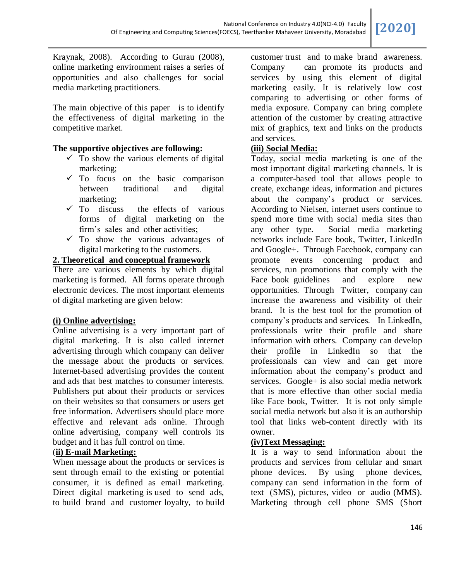Kraynak, 2008). According to Gurau (2008), online marketing environment raises a series of opportunities and also challenges for social media marketing practitioners.

The main objective of this paper is to identify the effectiveness of digital marketing in the competitive market.

#### **The supportive objectives are following:**

- $\checkmark$  To show the various elements of digital marketing;
- $\checkmark$  To focus on the basic comparison between traditional and digital marketing;
- $\checkmark$  To discuss the effects of various forms of digital marketing on the firm's sales and other activities;
- $\checkmark$  To show the various advantages of digital marketing to the customers.

# **2. Theoretical and conceptual framework**

There are various elements by which digital marketing is formed. All forms operate through electronic devices. The most important elements of digital marketing are given below:

# **(i) Online advertising:**

Online advertising is a very important part of digital marketing. It is also called internet advertising through which company can deliver the message about the products or services. Internet-based advertising provides the content and ads that best matches to consumer interests. Publishers put about their products or services on their websites so that consumers or users get free information. Advertisers should place more effective and relevant ads online. Through online advertising, company well controls its budget and it has full control on time.

# (**ii) E-mail Marketing:**

When message about the products or services is sent through email to the existing or potential consumer, it is defined as email marketing. Direct digital marketing is used to send ads, to build brand and customer loyalty, to build customer trust and to make brand awareness. Company can promote its products and services by using this element of digital marketing easily. It is relatively low cost comparing to advertising or other forms of media exposure. Company can bring complete attention of the customer by creating attractive mix of graphics, text and links on the products and services.

#### **(iii) Social Media:**

Today, social media marketing is one of the most important digital marketing channels. It is a computer-based tool that allows people to create, exchange ideas, information and pictures about the company's product or services. According to Nielsen, internet users continue to spend more time with social media sites than any other type. Social media marketing networks include Face book, Twitter, LinkedIn and Google+. Through Facebook, company can promote events concerning product and services, run promotions that comply with the Face book guidelines and explore new opportunities. Through Twitter, company can increase the awareness and visibility of their brand. It is the best tool for the promotion of company's products and services. In LinkedIn, professionals write their profile and share information with others. Company can develop their profile in LinkedIn so that the professionals can view and can get more information about the company's product and services. Google+ is also social media network that is more effective than other social media like Face book, Twitter. It is not only simple social media network but also it is an authorship tool that links web-content directly with its owner.

# **(iv)Text Messaging:**

It is a way to send information about the products and services from cellular and smart phone devices. By using phone devices, company can send information in the form of text (SMS), pictures, video or audio (MMS). Marketing through cell phone SMS (Short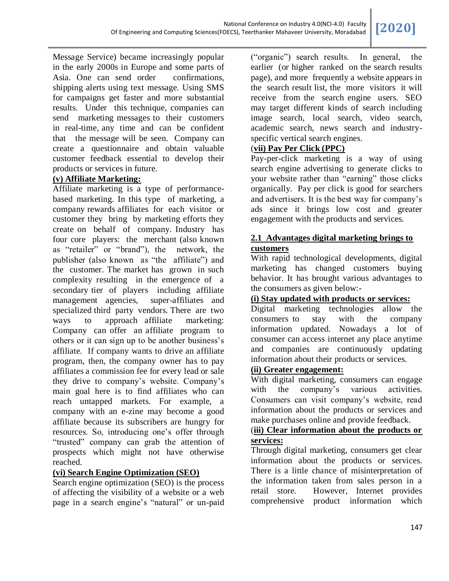Message Service) became increasingly popular in the early 2000s in Europe and some parts of Asia. One can send order confirmations, shipping alerts using text message. Using SMS for campaigns get faster and more substantial results. Under this technique, companies can send marketing messages to their customers in real-time, any time and can be confident that the message will be seen. Company can create a questionnaire and obtain valuable customer feedback essential to develop their products or services in future.

# **(v) Affiliate Marketing:**

Affiliate marketing is a type of performancebased marketing. In this type of marketing, a company rewards affiliates for each visitor or customer they bring by marketing efforts they create on behalf of company. Industry has four core players: the merchant (also known as "retailer" or "brand"), the network, the publisher (also known as "the affiliate") and the customer. The market has grown in such complexity resulting in the emergence of a secondary tier of players including affiliate management agencies, super-affiliates and specialized third party vendors. There are two ways to approach affiliate marketing: Company can offer an affiliate program to others or it can sign up to be another business's affiliate. If company wants to drive an affiliate program, then, the company owner has to pay affiliates a commission fee for every lead or sale they drive to company's website. Company's main goal here is to find affiliates who can reach untapped markets. For example, a company with an e-zine may become a good affiliate because its subscribers are hungry for resources. So, introducing one's offer through "trusted" company can grab the attention of prospects which might not have otherwise reached.

# **(vi) Search Engine Optimization (SEO)**

Search engine optimization (SEO) is the process of affecting the visibility of a website or a web page in a search engine's "natural" or un-paid

("organic") search results. In general, the earlier (or higher ranked on the search results page), and more frequently a website appears in the search result list, the more visitors it will receive from the search engine users. SEO may target different kinds of search including [image search, local](http://en.wikipedia.org/wiki/Image_search) [search, video search,](http://en.wikipedia.org/wiki/Local_search_%28Internet%29)  [academic search, ne](http://en.wikipedia.org/wiki/Local_search_%28Internet%29)ws search and industryspecific [vertical search engin](http://en.wikipedia.org/wiki/Vertical_search)es.

# (**vii) Pay Per Click (PPC)**

Pay-per-click marketing is a way of using search engine advertising to generate clicks to your website rather than "earning" those clicks organically. Pay per click is good for searchers and advertisers. It is the best way for company's ads since it brings low cost and greater engagement with the products and services.

# **2.1 Advantages digital marketing brings to customers**

With rapid technological developments, digital marketing has changed customers buying behavior. It has brought various advantages to the consumers as given below:-

# **(i) Stay updated with products or services:**

Digital marketing technologies allow the consumers to stay with the company information updated. Nowadays a lot of consumer can access internet any place anytime and companies are continuously updating information about their products or services.

# **(ii) Greater engagement:**

With digital marketing, consumers can engage with the company's various activities. Consumers can visit company's website, read information about the products or services and make purchases online and provide feedback.

# (**iii) Clear information about the products or services:**

Through digital marketing, consumers get clear information about the products or services. There is a little chance of misinterpretation of the information taken from sales person in a retail store. However, Internet provides comprehensive product information which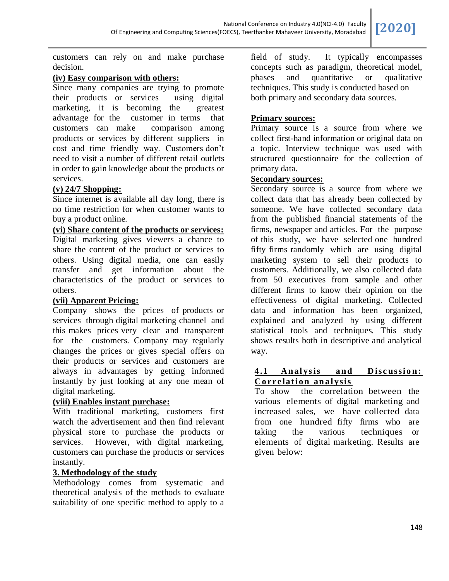customers can rely on and make purchase decision.

#### **(iv) Easy comparison with others:**

Since many companies are trying to promote their products or services using digital marketing, it is becoming the greatest advantage for the customer in terms that customers can make comparison among products or services by different suppliers in cost and time friendly way. Customers don't need to visit a number of different retail outlets in order to gain knowledge about the products or services.

# **(v) 24/7 Shopping:**

Since internet is available all day long, there is no time restriction for when customer wants to buy a product online.

#### **(vi) Share content of the products or services:**

Digital marketing gives viewers a chance to share the content of the product or services to others. Using digital media, one can easily transfer and get information about the characteristics of the product or services to others.

#### **(vii) Apparent Pricing:**

Company shows the prices of products or services through digital marketing channel and this makes prices very clear and transparent for the customers. Company may regularly changes the prices or gives special offers on their products or services and customers are always in advantages by getting informed instantly by just looking at any one mean of digital marketing.

# **(viii) Enables instant purchase:**

With traditional marketing, customers first watch the advertisement and then find relevant physical store to purchase the products or services. However, with digital marketing, customers can purchase the products or services instantly.

#### **3. Methodology of the study**

Methodology comes from systematic and theoretical analysis of the methods to evaluate suitability of one specific method to apply to a

field of study. It typically encompasses concepts such as paradigm, theoretical model, phases and quantitative or qualitative techniques. This study is conducted based on both primary and secondary data sources.

#### **Primary sources:**

Primary source is a source from where we collect first-hand information or original data on a topic. Interview technique was used with structured questionnaire for the collection of primary data.

# **Secondary sources:**

Secondary source is a source from where we collect data that has already been collected by someone. We have collected secondary data from the published financial statements of the firms, newspaper and articles. For the purpose of this study, we have selected one hundred fifty firms randomly which are using digital marketing system to sell their products to customers. Additionally, we also collected data from 50 executives from sample and other different firms to know their opinion on the effectiveness of digital marketing. Collected data and information has been organized, explained and analyzed by using different statistical tools and techniques. This study shows results both in descriptive and analytical way.

#### **4.1 Analysis and Discussion: Correlation analysis**

To show the correlation between the various elements of digital marketing and increased sales, we have collected data from one hundred fifty firms who are taking the various techniques or elements of digital marketing. Results are given below: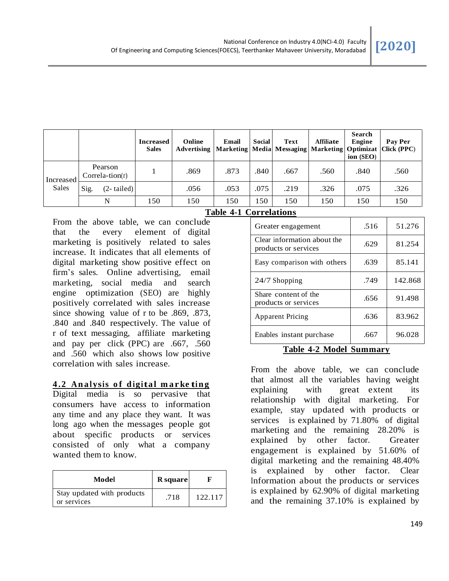|                    |                              |              | <b>Increased</b><br><b>Sales</b> | Online<br>Advertising | Email<br>  Marketing   Media   Messaging   Marketing   Optimizat | <b>Social</b> | <b>Text</b> | Affiliate | <b>Search</b><br>Engine<br>ion (SEO) | Pay Per<br> Click (PPC) |
|--------------------|------------------------------|--------------|----------------------------------|-----------------------|------------------------------------------------------------------|---------------|-------------|-----------|--------------------------------------|-------------------------|
| Increased<br>Sales | Pearson<br>$Correla-tion(r)$ |              |                                  | .869                  | .873                                                             | .840          | .667        | .560      | .840                                 | .560                    |
|                    | Sig.                         | $(2-tailed)$ |                                  | .056                  | .053                                                             | .075          | .219        | .326      | .075                                 | .326                    |
|                    | N                            |              | 150                              | 150                   | 150                                                              | 150           | 150         | 150       | 150                                  | 150                     |

From the above table, we can conclude that the every element of digital marketing is positively related to sales increase. It indicates that all elements of digital marketing show positive effect on firm's sales. Online advertising, email marketing, social media and search engine optimization (SEO) are highly positively correlated with sales increase since showing value of r to be .869, .873, .840 and .840 respectively. The value of r of text messaging, affiliate marketing and pay per click (PPC) are .667, .560 and .560 which also shows low positive correlation with sales increase.

#### **4 .2 An a <sup>l</sup> ysis o f d igita l m a rke tin g**

Digital media is so pervasive that consumers have access to information any time and any place they want. It was long ago when the messages people got about specific products or services consisted of only what a company wanted them to know.

| Model                                     | R square |         |
|-------------------------------------------|----------|---------|
| Stay updated with products<br>or services | .718     | 122.117 |

|    | Table 4-1 Correlations |
|----|------------------------|
| ∼ا |                        |

**Table 4-1 Correlations**

| Greater engagement                                  | .516 | 51.276  |
|-----------------------------------------------------|------|---------|
| Clear information about the<br>products or services | .629 | 81.254  |
| Easy comparison with others                         | .639 | 85.141  |
| 24/7 Shopping                                       | .749 | 142.868 |
| Share content of the<br>products or services        | .656 | 91.498  |
| <b>Apparent Pricing</b>                             | .636 | 83.962  |
| Enables instant purchase                            | .667 | 96.028  |

#### **Table 4-2 Model Summary**

From the above table, we can conclude that almost all the variables having weight explaining with great extent its relationship with digital marketing. For example, stay updated with products or services is explained by 71.80% of digital marketing and the remaining 28.20% is explained by other factor. Greater engagement is explained by 51.60% of digital marketing and the remaining 48.40% is explained by other factor. Clear Information about the products or services is explained by 62.90% of digital marketing and the remaining 37.10% is explained by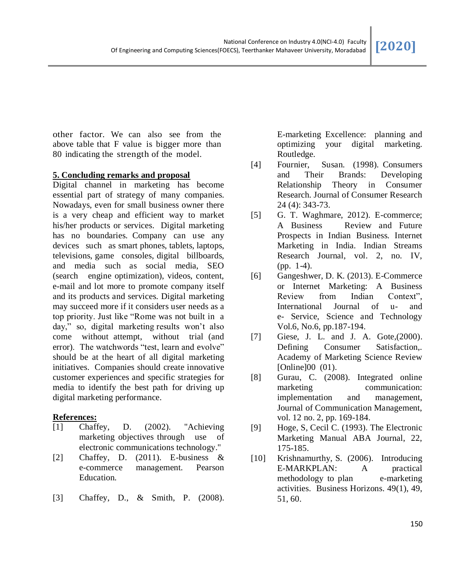other factor. We can also see from the above table that F value is bigger more than 80 indicating the strength of the model.

#### **5. Concluding remarks and proposal**

Digital channel in marketing has become essential part of strategy of many companies. Nowadays, even for small business owner there is a very cheap and efficient way to market his/her products or services. Digital marketing has no boundaries. Company can use any devices such as smart phones, tablets, laptops, televisions, game consoles, digital billboards, and media such as social media, SEO (search engine optimization), videos, content, e-mail and lot more to promote company itself and its products and services. Digital marketing may succeed more if it considers user needs as a top priority. Just like "Rome was not built in a day," so, digital marketing results won't also come without attempt, without trial (and error). The watchwords "test, learn and evolve" should be at the heart of all digital marketing initiatives. Companies should create innovative customer experiences and specific strategies for media to identify the best path for driving up digital marketing performance.

# **References:**

- [1] Chaffey, D. (2002). "Achieving marketing objectives through use of electronic communications technology."
- [2] Chaffey, D. (2011). E-business & e-commerce management. Pearson Education.
- [3] Chaffey, D., & Smith, P. (2008).

E-marketing Excellence: planning and optimizing your digital marketing. Routledge.

- [4] Fournier, Susan. (1998). Consumers and Their Brands: Developing Relationship Theory in Consumer Research. Journal of Consumer Research 24 (4): 343-73.
- [5] G. T. Waghmare, 2012). E-commerce; A Business Review and Future Prospects in Indian Business. Internet Marketing in India. Indian Streams Research Journal, vol. 2, no. IV, (pp. 1-4).
- [6] Gangeshwer, D. K. (2013). E-Commerce or Internet Marketing: A Business Review from Indian Context", International Journal of u- and e- Service, Science and Technology Vol.6, No.6, pp.187-194.
- [7] Giese, J. L. and J. A. Gote, (2000). Defining Consumer Satisfaction,. Academy of Marketing Science Review [Online]00 (01).
- [8] Gurau, C. (2008). Integrated online marketing communication: implementation and management, Journal of Communication Management, vol. 12 no. 2, pp. 169-184.
- [9] Hoge, S, Cecil C. (1993). The Electronic Marketing Manual ABA Journal, 22, 175-185.
- [10] Krishnamurthy, S. (2006). Introducing E-MARKPLAN: A practical methodology to plan e-marketing activities. Business Horizons. 49(1), 49, 51, 60.